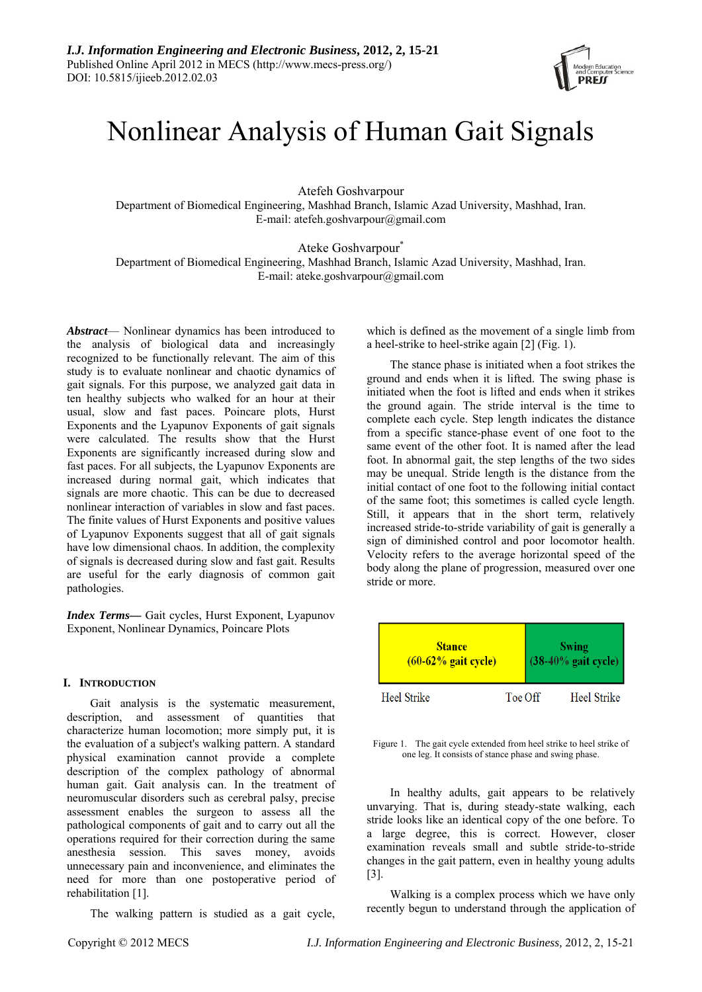

# Nonlinear Analysis of Human Gait Signals

Atefeh Goshvarpour Department of Biomedical Engineering, Mashhad Branch, Islamic Azad University, Mashhad, Iran. E-mail: atefeh.goshvarpour@gmail.com

Ateke Goshvarpour\* Department of Biomedical Engineering, Mashhad Branch, Islamic Azad University, Mashhad, Iran. E-mail: ateke.goshvarpour@gmail.com

*Abstract*— Nonlinear dynamics has been introduced to the analysis of biological data and increasingly recognized to be functionally relevant. The aim of this study is to evaluate nonlinear and chaotic dynamics of gait signals. For this purpose, we analyzed gait data in ten healthy subjects who walked for an hour at their usual, slow and fast paces. Poincare plots, Hurst Exponents and the Lyapunov Exponents of gait signals were calculated. The results show that the Hurst Exponents are significantly increased during slow and fast paces. For all subjects, the Lyapunov Exponents are increased during normal gait, which indicates that signals are more chaotic. This can be due to decreased nonlinear interaction of variables in slow and fast paces. The finite values of Hurst Exponents and positive values of Lyapunov Exponents suggest that all of gait signals have low dimensional chaos. In addition, the complexity of signals is decreased during slow and fast gait. Results are useful for the early diagnosis of common gait pathologies.

*Index Terms—* Gait cycles, Hurst Exponent, Lyapunov Exponent, Nonlinear Dynamics, Poincare Plots

# **I. INTRODUCTION**

Gait analysis is the systematic measurement, description, and assessment of quantities that characterize human locomotion; more simply put, it is the evaluation of a subject's walking pattern. A standard physical examination cannot provide a complete description of the complex pathology of abnormal human gait. Gait analysis can. In the treatment of neuromuscular disorders such as cerebral palsy, precise assessment enables the surgeon to assess all the pathological components of gait and to carry out all the operations required for their correction during the same anesthesia session. This saves money, avoids unnecessary pain and inconvenience, and eliminates the need for more than one postoperative period of rehabilitation [1].

The walking pattern is studied as a gait cycle,

which is defined as the movement of a single limb from a heel-strike to heel-strike again  $[2]$  (Fig. 1).

The stance phase is initiated when a foot strikes the ground and ends when it is lifted. The swing phase is initiated when the foot is lifted and ends when it strikes the ground again. The stride interval is the time to complete each cycle. Step length indicates the distance from a specific stance-phase event of one foot to the same event of the other foot. It is named after the lead foot. In abnormal gait, the step lengths of the two sides may be unequal. Stride length is the distance from the initial contact of one foot to the following initial contact of the same foot; this sometimes is called cycle length. Still, it appears that in the short term, relatively increased stride-to-stride variability of gait is generally a sign of diminished control and poor locomotor health. Velocity refers to the average horizontal speed of the body along the plane of progression, measured over one stride or more.

| <b>Stance</b><br>$(60-62\%$ gait cycle) |         | $\begin{array}{c} \textbf{Swing} \\ (38-40\% \text{ gait cycle}) \end{array}$ |
|-----------------------------------------|---------|-------------------------------------------------------------------------------|
| Heel Strike                             | Toe Off | Heel Strike                                                                   |



In healthy adults, gait appears to be relatively unvarying. That is, during steady-state walking, each stride looks like an identical copy of the one before. To a large degree, this is correct. However, closer examination reveals small and subtle stride-to-stride changes in the gait pattern, even in healthy young adults [3].

Walking is a complex process which we have only recently begun to understand through the application of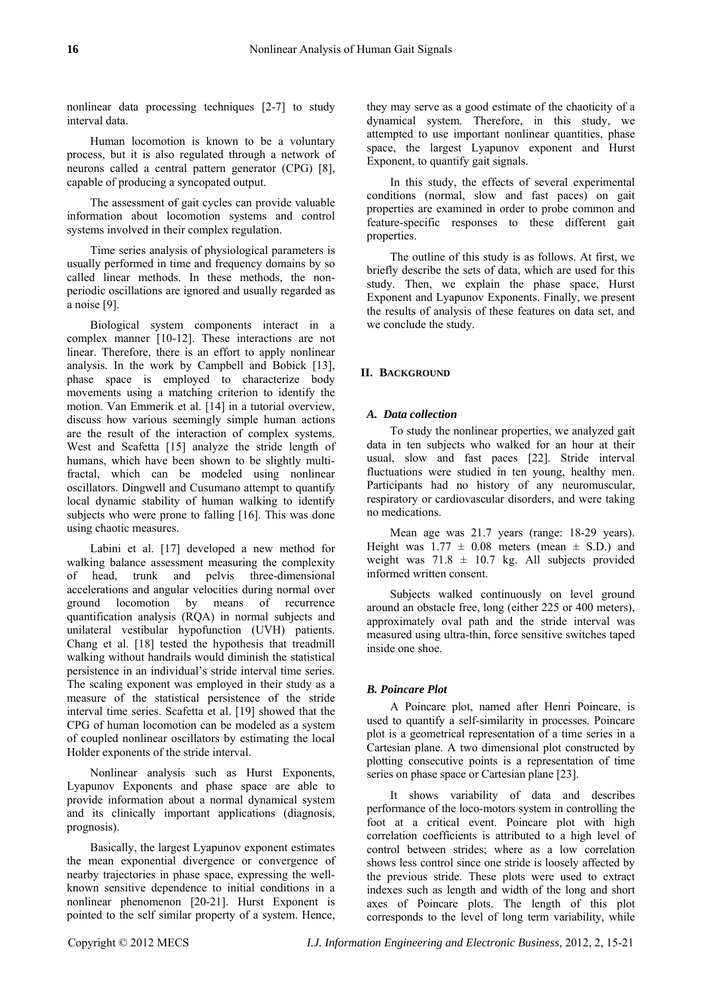nonlinear data processing techniques [2-7] to study interval data.

Human locomotion is known to be a voluntary process, but it is also regulated through a network of neurons called a central pattern generator (CPG) [8], capable of producing a syncopated output.

The assessment of gait cycles can provide valuable information about locomotion systems and control systems involved in their complex regulation.

Time series analysis of physiological parameters is usually performed in time and frequency domains by so called linear methods. In these methods, the nonperiodic oscillations are ignored and usually regarded as a noise [9].

Biological system components interact in a complex manner [10-12]. These interactions are not linear. Therefore, there is an effort to apply nonlinear analysis. In the work by Campbell and Bobick [13], phase space is employed to characterize body movements using a matching criterion to identify the motion. Van Emmerik et al. [14] in a tutorial overview, discuss how various seemingly simple human actions are the result of the interaction of complex systems. West and Scafetta [15] analyze the stride length of humans, which have been shown to be slightly multifractal, which can be modeled using nonlinear oscillators. Dingwell and Cusumano attempt to quantify local dynamic stability of human walking to identify subjects who were prone to falling [16]. This was done using chaotic measures.

Labini et al. [17] developed a new method for walking balance assessment measuring the complexity of head, trunk and pelvis three-dimensional accelerations and angular velocities during normal over ground locomotion by means of recurrence quantification analysis (RQA) in normal subjects and unilateral vestibular hypofunction (UVH) patients. Chang et al. [18] tested the hypothesis that treadmill walking without handrails would diminish the statistical persistence in an individual's stride interval time series. The scaling exponent was employed in their study as a measure of the statistical persistence of the stride interval time series. Scafetta et al. [19] showed that the CPG of human locomotion can be modeled as a system of coupled nonlinear oscillators by estimating the local Holder exponents of the stride interval.

Nonlinear analysis such as Hurst Exponents, Lyapunov Exponents and phase space are able to provide information about a normal dynamical system and its clinically important applications (diagnosis, prognosis).

Basically, the largest Lyapunov exponent estimates the mean exponential divergence or convergence of nearby trajectories in phase space, expressing the wellknown sensitive dependence to initial conditions in a nonlinear phenomenon [20-21]. Hurst Exponent is pointed to the self similar property of a system. Hence,

they may serve as a good estimate of the chaoticity of a dynamical system. Therefore, in this study, we attempted to use important nonlinear quantities, phase space, the largest Lyapunov exponent and Hurst Exponent, to quantify gait signals.

In this study, the effects of several experimental conditions (normal, slow and fast paces) on gait properties are examined in order to probe common and feature-specific responses to these different gait properties.

The outline of this study is as follows. At first, we briefly describe the sets of data, which are used for this study. Then, we explain the phase space, Hurst Exponent and Lyapunov Exponents. Finally, we present the results of analysis of these features on data set, and we conclude the study.

# **II. BACKGROUND**

## *A. Data collection*

To study the nonlinear properties, we analyzed gait data in ten subjects who walked for an hour at their usual, slow and fast paces [22]. Stride interval fluctuations were studied in ten young, healthy men. Participants had no history of any neuromuscular, respiratory or cardiovascular disorders, and were taking no medications.

Mean age was 21.7 years (range: 18-29 years). Height was  $1.77 \pm 0.08$  meters (mean  $\pm$  S.D.) and weight was  $71.8 \pm 10.7$  kg. All subjects provided informed written consent.

Subjects walked continuously on level ground around an obstacle free, long (either 225 or 400 meters), approximately oval path and the stride interval was measured using ultra-thin, force sensitive switches taped inside one shoe.

## *B. Poincare Plot*

A Poincare plot, named after Henri Poincare, is used to quantify a self-similarity in processes. Poincare plot is a geometrical representation of a time series in a Cartesian plane. A two dimensional plot constructed by plotting consecutive points is a representation of time series on phase space or Cartesian plane [23].

It shows variability of data and describes performance of the loco-motors system in controlling the foot at a critical event. Poincare plot with high correlation coefficients is attributed to a high level of control between strides; where as a low correlation shows less control since one stride is loosely affected by the previous stride. These plots were used to extract indexes such as length and width of the long and short axes of Poincare plots. The length of this plot corresponds to the level of long term variability, while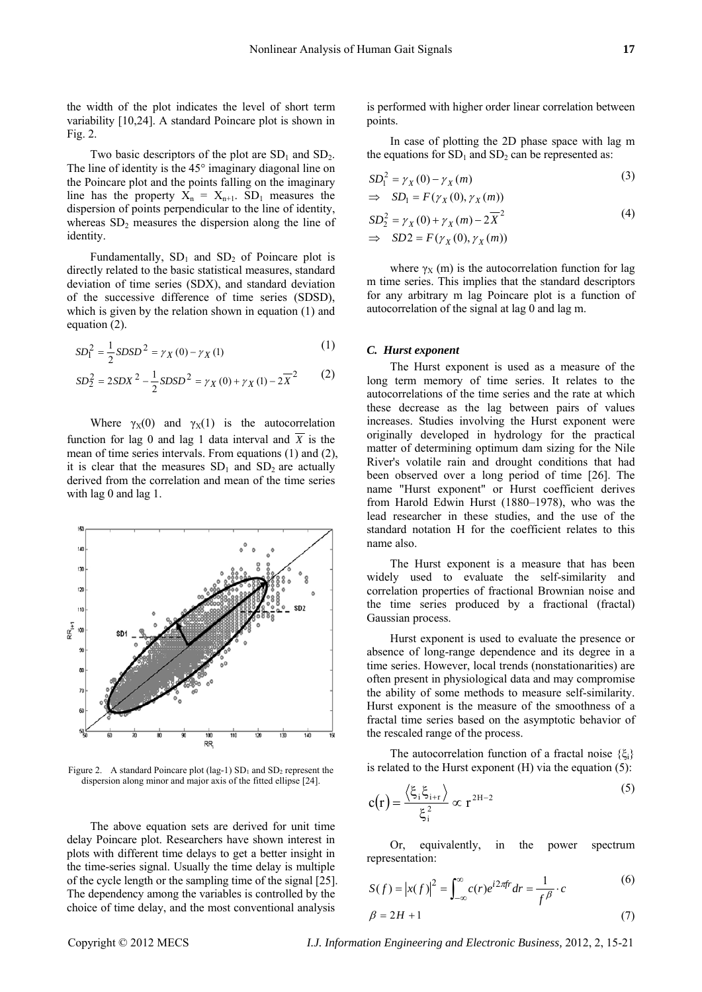the width of the plot indicates the level of short term variability [10,24]. A standard Poincare plot is shown in Fig. 2.

Two basic descriptors of the plot are  $SD_1$  and  $SD_2$ . The line of identity is the 45° imaginary diagonal line on the Poincare plot and the points falling on the imaginary line has the property  $X_n = X_{n+1}$ . SD<sub>1</sub> measures the dispersion of points perpendicular to the line of identity, whereas  $SD<sub>2</sub>$  measures the dispersion along the line of identity.

Fundamentally,  $SD_1$  and  $SD_2$  of Poincare plot is directly related to the basic statistical measures, standard deviation of time series (SDX), and standard deviation of the successive difference of time series (SDSD), which is given by the relation shown in equation (1) and equation (2).

$$
SD_1^2 = \frac{1}{2} S D S D^2 = \gamma_X(0) - \gamma_X(1)
$$
 (1)

$$
SD_2^2 = 2SDX^2 - \frac{1}{2}SDSD^2 = \gamma_X(0) + \gamma_X(1) - 2\overline{X}^2
$$
 (2)

Where  $\gamma_X(0)$  and  $\gamma_X(1)$  is the autocorrelation function for lag 0 and lag 1 data interval and  $\overline{X}$  is the mean of time series intervals. From equations (1) and (2), it is clear that the measures  $SD_1$  and  $SD_2$  are actually derived from the correlation and mean of the time series with lag 0 and lag 1.



Figure 2. A standard Poincare plot (lag-1)  $SD<sub>1</sub>$  and  $SD<sub>2</sub>$  represent the dispersion along minor and major axis of the fitted ellipse [24].

The above equation sets are derived for unit time delay Poincare plot. Researchers have shown interest in plots with different time delays to get a better insight in the time-series signal. Usually the time delay is multiple of the cycle length or the sampling time of the signal [25]. The dependency among the variables is controlled by the choice of time delay, and the most conventional analysis

is performed with higher order linear correlation between points.

In case of plotting the 2D phase space with lag m the equations for  $SD_1$  and  $SD_2$  can be represented as:

$$
SD12 = \gamma_X(0) - \gamma_X(m)
$$
  
\n
$$
\Rightarrow SD1 = F(\gamma_X(0), \gamma_X(m))
$$
\n(3)

$$
SD_2^2 = \gamma_X(0) + \gamma_X(m) - 2\overline{X}^2
$$
  
\n
$$
\Rightarrow SD2 = F(\gamma_X(0), \gamma_X(m))
$$
\n(4)

where  $\gamma$ <sub>X</sub> (m) is the autocorrelation function for lag m time series. This implies that the standard descriptors for any arbitrary m lag Poincare plot is a function of autocorrelation of the signal at lag 0 and lag m.

#### *C. Hurst exponent*

The Hurst exponent is used as a measure of the long term memory of time series. It relates to the autocorrelations of the time series and the rate at which these decrease as the lag between pairs of values increases. Studies involving the Hurst exponent were originally developed in hydrology for the practical matter of determining optimum dam sizing for the Nile River's volatile rain and drought conditions that had been observed over a long period of time [26]. The name "Hurst exponent" or Hurst coefficient derives from Harold Edwin Hurst (1880–1978), who was the lead researcher in these studies, and the use of the standard notation H for the coefficient relates to this name also.

The Hurst exponent is a measure that has been widely used to evaluate the self-similarity and correlation properties of fractional Brownian noise and the time series produced by a fractional (fractal) Gaussian process.

Hurst exponent is used to evaluate the presence or absence of long-range dependence and its degree in a time series. However, local trends (nonstationarities) are often present in physiological data and may compromise the ability of some methods to measure self-similarity. Hurst exponent is the measure of the smoothness of a fractal time series based on the asymptotic behavior of the rescaled range of the process.

The autocorrelation function of a fractal noise  $\{\xi_i\}$ is related to the Hurst exponent (H) via the equation (5):

$$
c(r) = \frac{\langle \xi_i \xi_{i+r} \rangle}{\xi_i^2} \propto r^{2H-2}
$$
 (5)

Or, equivalently, in the power spectrum representation:

$$
S(f) = |x(f)|^2 = \int_{-\infty}^{\infty} c(r)e^{i2\pi ft} dr = \frac{1}{f^{\beta}} \cdot c
$$
 (6)

$$
\beta = 2H + 1\tag{7}
$$

Copyright © 2012 MECS *I.J. Information Engineering and Electronic Business,* 2012, 2, 15-21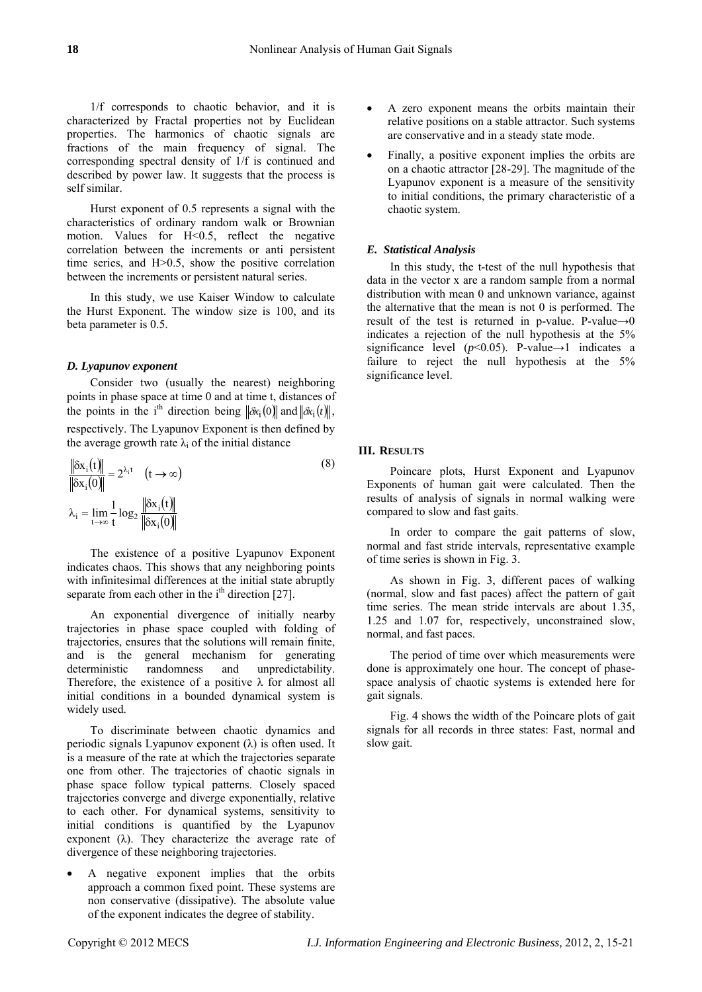1/f corresponds to chaotic behavior, and it is characterized by Fractal properties not by Euclidean properties. The harmonics of chaotic signals are fractions of the main frequency of signal. The corresponding spectral density of 1/f is continued and described by power law. It suggests that the process is self similar.

Hurst exponent of 0.5 represents a signal with the characteristics of ordinary random walk or Brownian motion. Values for H<0.5, reflect the negative correlation between the increments or anti persistent time series, and H>0.5, show the positive correlation between the increments or persistent natural series.

In this study, we use Kaiser Window to calculate the Hurst Exponent. The window size is 100, and its beta parameter is 0.5.

#### *D. Lyapunov exponent*

Consider two (usually the nearest) neighboring points in phase space at time 0 and at time t, distances of the points in the i<sup>th</sup> direction being  $\|\delta x_i(0)\|$  and  $\|\delta x_i(t)\|$ , respectively. The Lyapunov Exponent is then defined by the average growth rate  $\lambda_i$  of the initial distance

$$
\frac{\|\delta x_i(t)\|}{\|\delta x_i(0)\|} = 2^{\lambda_i t} \quad (t \to \infty)
$$
\n
$$
\lambda_i = \lim_{t \to \infty} \frac{1}{t} \log_2 \frac{\|\delta x_i(t)\|}{\|\delta x_i(0)\|}
$$
\n(8)

The existence of a positive Lyapunov Exponent indicates chaos. This shows that any neighboring points with infinitesimal differences at the initial state abruptly separate from each other in the  $i<sup>th</sup>$  direction [27].

An exponential divergence of initially nearby trajectories in phase space coupled with folding of trajectories, ensures that the solutions will remain finite, and is the general mechanism for generating deterministic randomness and unpredictability. Therefore, the existence of a positive  $\lambda$  for almost all initial conditions in a bounded dynamical system is widely used.

To discriminate between chaotic dynamics and periodic signals Lyapunov exponent (λ) is often used. It is a measure of the rate at which the trajectories separate one from other. The trajectories of chaotic signals in phase space follow typical patterns. Closely spaced trajectories converge and diverge exponentially, relative to each other. For dynamical systems, sensitivity to initial conditions is quantified by the Lyapunov exponent  $(\lambda)$ . They characterize the average rate of divergence of these neighboring trajectories.

 A negative exponent implies that the orbits approach a common fixed point. These systems are non conservative (dissipative). The absolute value of the exponent indicates the degree of stability.

- A zero exponent means the orbits maintain their relative positions on a stable attractor. Such systems are conservative and in a steady state mode.
- Finally, a positive exponent implies the orbits are on a chaotic attractor [28-29]. The magnitude of the Lyapunov exponent is a measure of the sensitivity to initial conditions, the primary characteristic of a chaotic system.

#### *E. Statistical Analysis*

In this study, the t-test of the null hypothesis that data in the vector x are a random sample from a normal distribution with mean 0 and unknown variance, against the alternative that the mean is not 0 is performed. The result of the test is returned in p-value. P-value $\rightarrow$ 0 indicates a rejection of the null hypothesis at the 5% significance level  $(p<0.05)$ . P-value→1 indicates a failure to reject the null hypothesis at the 5% significance level.

#### **III. RESULTS**

Poincare plots, Hurst Exponent and Lyapunov Exponents of human gait were calculated. Then the results of analysis of signals in normal walking were compared to slow and fast gaits.

In order to compare the gait patterns of slow, normal and fast stride intervals, representative example of time series is shown in Fig. 3.

As shown in Fig. 3, different paces of walking (normal, slow and fast paces) affect the pattern of gait time series. The mean stride intervals are about 1.35, 1.25 and 1.07 for, respectively, unconstrained slow, normal, and fast paces.

The period of time over which measurements were done is approximately one hour. The concept of phasespace analysis of chaotic systems is extended here for gait signals.

Fig. 4 shows the width of the Poincare plots of gait signals for all records in three states: Fast, normal and slow gait.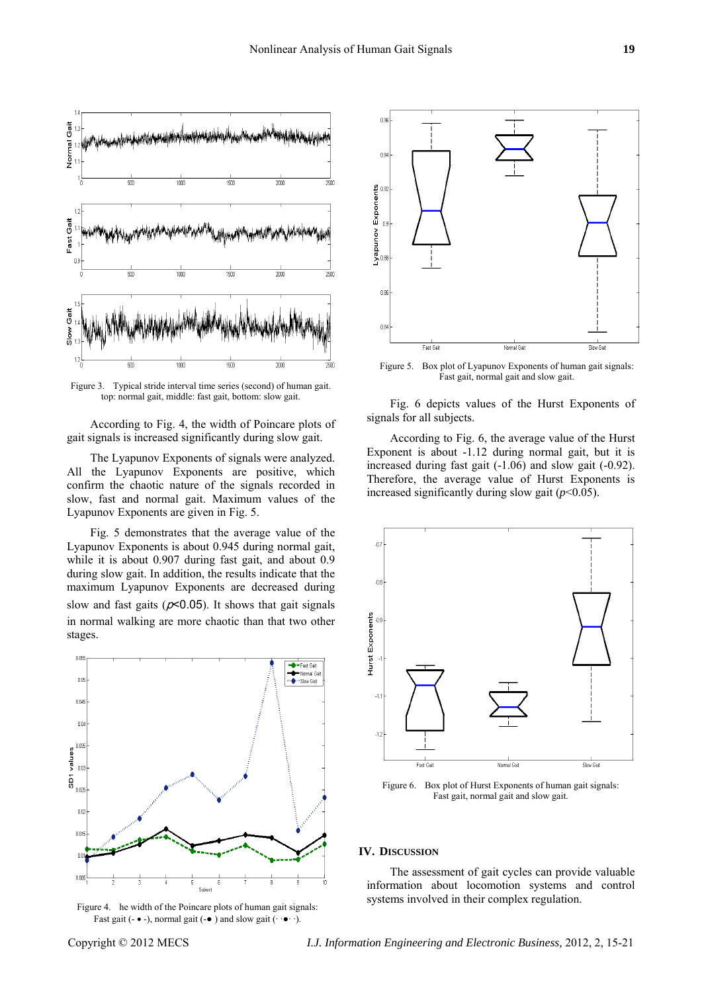

Figure 3. Typical stride interval time series (second) of human gait. top: normal gait, middle: fast gait, bottom: slow gait.

According to Fig. 4, the width of Poincare plots of gait signals is increased significantly during slow gait.

The Lyapunov Exponents of signals were analyzed. All the Lyapunov Exponents are positive, which confirm the chaotic nature of the signals recorded in slow, fast and normal gait. Maximum values of the Lyapunov Exponents are given in Fig. 5.

Fig. 5 demonstrates that the average value of the Lyapunov Exponents is about 0.945 during normal gait, while it is about 0.907 during fast gait, and about 0.9 during slow gait. In addition, the results indicate that the maximum Lyapunov Exponents are decreased during slow and fast gaits ( $p$ <0.05). It shows that gait signals in normal walking are more chaotic than that two other stages.



Figure 4. he width of the Poincare plots of human gait signals: Fast gait (- $\bullet$  -), normal gait (- $\bullet$ ) and slow gait ( $\cdot \bullet \cdot \cdot$ ).



Figure 5. Box plot of Lyapunov Exponents of human gait signals: Fast gait, normal gait and slow gait.

Fig. 6 depicts values of the Hurst Exponents of signals for all subjects.

According to Fig. 6, the average value of the Hurst Exponent is about -1.12 during normal gait, but it is increased during fast gait (-1.06) and slow gait (-0.92). Therefore, the average value of Hurst Exponents is increased significantly during slow gait  $(p<0.05)$ .



Figure 6. Box plot of Hurst Exponents of human gait signals: Fast gait, normal gait and slow gait.

# **IV. DISCUSSION**

The assessment of gait cycles can provide valuable information about locomotion systems and control systems involved in their complex regulation.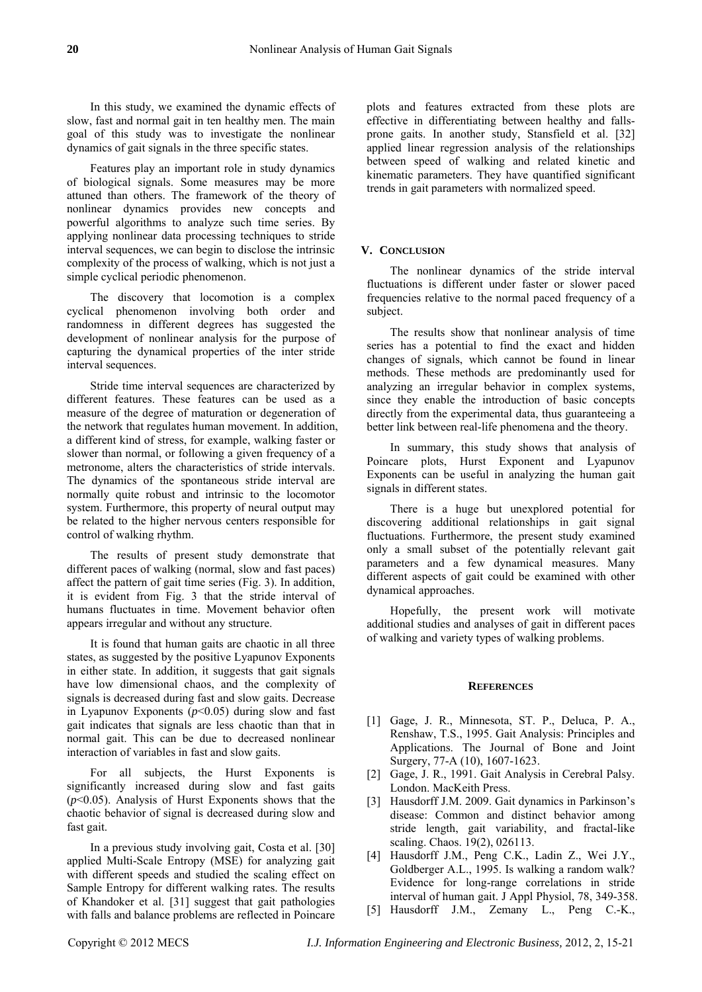In this study, we examined the dynamic effects of slow, fast and normal gait in ten healthy men. The main goal of this study was to investigate the nonlinear dynamics of gait signals in the three specific states.

Features play an important role in study dynamics of biological signals. Some measures may be more attuned than others. The framework of the theory of nonlinear dynamics provides new concepts and powerful algorithms to analyze such time series. By applying nonlinear data processing techniques to stride interval sequences, we can begin to disclose the intrinsic complexity of the process of walking, which is not just a simple cyclical periodic phenomenon.

The discovery that locomotion is a complex cyclical phenomenon involving both order and randomness in different degrees has suggested the development of nonlinear analysis for the purpose of capturing the dynamical properties of the inter stride interval sequences.

Stride time interval sequences are characterized by different features. These features can be used as a measure of the degree of maturation or degeneration of the network that regulates human movement. In addition, a different kind of stress, for example, walking faster or slower than normal, or following a given frequency of a metronome, alters the characteristics of stride intervals. The dynamics of the spontaneous stride interval are normally quite robust and intrinsic to the locomotor system. Furthermore, this property of neural output may be related to the higher nervous centers responsible for control of walking rhythm.

The results of present study demonstrate that different paces of walking (normal, slow and fast paces) affect the pattern of gait time series (Fig. 3). In addition, it is evident from Fig. 3 that the stride interval of humans fluctuates in time. Movement behavior often appears irregular and without any structure.

It is found that human gaits are chaotic in all three states, as suggested by the positive Lyapunov Exponents in either state. In addition, it suggests that gait signals have low dimensional chaos, and the complexity of signals is decreased during fast and slow gaits. Decrease in Lyapunov Exponents  $(p<0.05)$  during slow and fast gait indicates that signals are less chaotic than that in normal gait. This can be due to decreased nonlinear interaction of variables in fast and slow gaits.

For all subjects, the Hurst Exponents is significantly increased during slow and fast gaits (*p*<0.05). Analysis of Hurst Exponents shows that the chaotic behavior of signal is decreased during slow and fast gait.

In a previous study involving gait, Costa et al. [30] applied Multi-Scale Entropy (MSE) for analyzing gait with different speeds and studied the scaling effect on Sample Entropy for different walking rates. The results of Khandoker et al. [31] suggest that gait pathologies with falls and balance problems are reflected in Poincare

plots and features extracted from these plots are effective in differentiating between healthy and fallsprone gaits. In another study, Stansfield et al. [32] applied linear regression analysis of the relationships between speed of walking and related kinetic and kinematic parameters. They have quantified significant trends in gait parameters with normalized speed.

# **V. CONCLUSION**

The nonlinear dynamics of the stride interval fluctuations is different under faster or slower paced frequencies relative to the normal paced frequency of a subject.

The results show that nonlinear analysis of time series has a potential to find the exact and hidden changes of signals, which cannot be found in linear methods. These methods are predominantly used for analyzing an irregular behavior in complex systems, since they enable the introduction of basic concepts directly from the experimental data, thus guaranteeing a better link between real-life phenomena and the theory.

In summary, this study shows that analysis of Poincare plots, Hurst Exponent and Lyapunov Exponents can be useful in analyzing the human gait signals in different states.

There is a huge but unexplored potential for discovering additional relationships in gait signal fluctuations. Furthermore, the present study examined only a small subset of the potentially relevant gait parameters and a few dynamical measures. Many different aspects of gait could be examined with other dynamical approaches.

Hopefully, the present work will motivate additional studies and analyses of gait in different paces of walking and variety types of walking problems.

#### **REFERENCES**

- [1] Gage, J. R., Minnesota, ST. P., Deluca, P. A., Renshaw, T.S., 1995. Gait Analysis: Principles and Applications. The Journal of Bone and Joint Surgery, 77-A (10), 1607-1623.
- [2] Gage, J. R., 1991. Gait Analysis in Cerebral Palsy. London. MacKeith Press.
- [3] Hausdorff J.M. 2009. Gait dynamics in Parkinson's disease: Common and distinct behavior among stride length, gait variability, and fractal-like scaling. Chaos. 19(2), 026113.
- [4] Hausdorff J.M., Peng C.K., Ladin Z., Wei J.Y., Goldberger A.L., 1995. Is walking a random walk? Evidence for long-range correlations in stride interval of human gait. J Appl Physiol, 78, 349-358.
- [5] Hausdorff J.M., Zemany L., Peng C.-K.,